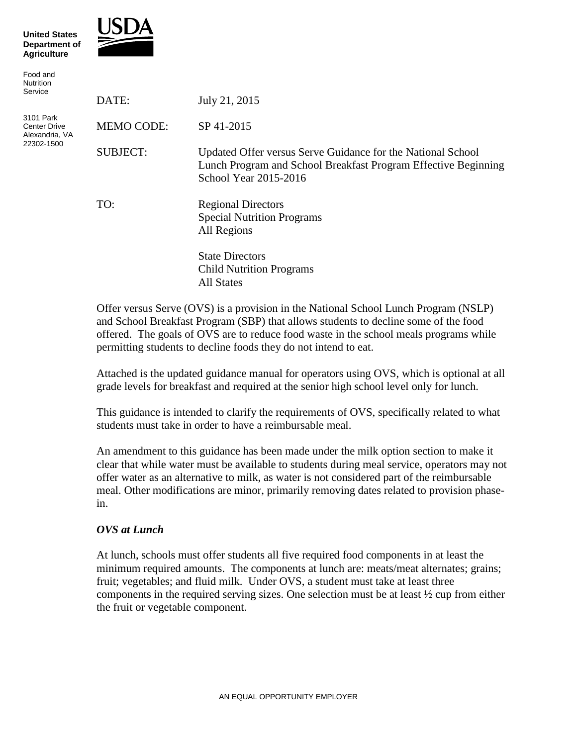



| Food and<br><b>Nutrition</b><br>Service                          |                   |                                                                                                                                                        |
|------------------------------------------------------------------|-------------------|--------------------------------------------------------------------------------------------------------------------------------------------------------|
|                                                                  | DATE:             | July 21, 2015                                                                                                                                          |
| 3101 Park<br><b>Center Drive</b><br>Alexandria, VA<br>22302-1500 | <b>MEMO CODE:</b> | SP 41-2015                                                                                                                                             |
|                                                                  | <b>SUBJECT:</b>   | Updated Offer versus Serve Guidance for the National School<br>Lunch Program and School Breakfast Program Effective Beginning<br>School Year 2015-2016 |
|                                                                  | TO:               | <b>Regional Directors</b><br><b>Special Nutrition Programs</b><br>All Regions                                                                          |
|                                                                  |                   | <b>State Directors</b><br><b>Child Nutrition Programs</b><br>All States                                                                                |

Offer versus Serve (OVS) is a provision in the National School Lunch Program (NSLP) and School Breakfast Program (SBP) that allows students to decline some of the food offered. The goals of OVS are to reduce food waste in the school meals programs while permitting students to decline foods they do not intend to eat.

Attached is the updated guidance manual for operators using OVS, which is optional at all grade levels for breakfast and required at the senior high school level only for lunch.

This guidance is intended to clarify the requirements of OVS, specifically related to what students must take in order to have a reimbursable meal.

An amendment to this guidance has been made under the milk option section to make it clear that while water must be available to students during meal service, operators may not offer water as an alternative to milk, as water is not considered part of the reimbursable meal. Other modifications are minor, primarily removing dates related to provision phasein.

## *OVS at Lunch*

At lunch, schools must offer students all five required food components in at least the minimum required amounts. The components at lunch are: meats/meat alternates; grains; fruit; vegetables; and fluid milk. Under OVS, a student must take at least three components in the required serving sizes. One selection must be at least  $\frac{1}{2}$  cup from either the fruit or vegetable component.